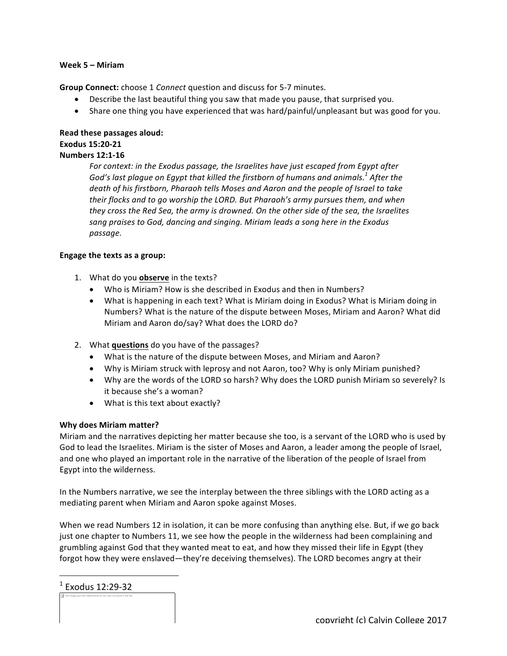#### **Week 5 – Miriam**

**Group Connect:** choose 1 *Connect* question and discuss for 5-7 minutes.

- Describe the last beautiful thing you saw that made you pause, that surprised you.
- Share one thing you have experienced that was hard/painful/unpleasant but was good for you.

#### **Read these passages aloud: Exodus 15:20-21 Numbers 12:1-16**

For context: in the Exodus passage, the Israelites have just escaped from Egypt after God's last plague on Egypt that killed the firstborn of humans and animals.<sup>1</sup> After the death of his firstborn, Pharaoh *tells* Moses and Aaron and the people of Israel to take *their flocks and to go worship the LORD. But Pharaoh's army pursues them, and when they* cross the Red Sea, the army is drowned. On the other side of the sea, the Israelites sang praises to God, dancing and singing. Miriam leads a song here in the Exodus *passage.*

# **Engage the texts as a group:**

- 1. What do you **observe** in the texts?
	- Who is Miriam? How is she described in Exodus and then in Numbers?
	- What is happening in each text? What is Miriam doing in Exodus? What is Miriam doing in Numbers? What is the nature of the dispute between Moses, Miriam and Aaron? What did Miriam and Aaron do/say? What does the LORD do?
- 2. What **questions** do you have of the passages?
	- What is the nature of the dispute between Moses, and Miriam and Aaron?
	- Why is Miriam struck with leprosy and not Aaron, too? Why is only Miriam punished?
	- Why are the words of the LORD so harsh? Why does the LORD punish Miriam so severely? Is it because she's a woman?
	- What is this text about exactly?

# **Why does Miriam matter?**

Miriam and the narratives depicting her matter because she too, is a servant of the LORD who is used by God to lead the Israelites. Miriam is the sister of Moses and Aaron, a leader among the people of Israel, and one who played an important role in the narrative of the liberation of the people of Israel from Egypt into the wilderness.

In the Numbers narrative, we see the interplay between the three siblings with the LORD acting as a mediating parent when Miriam and Aaron spoke against Moses.

When we read Numbers 12 in isolation, it can be more confusing than anything else. But, if we go back just one chapter to Numbers 11, we see how the people in the wilderness had been complaining and grumbling against God that they wanted meat to eat, and how they missed their life in Egypt (they forgot how they were enslaved—they're deceiving themselves). The LORD becomes angry at their

The image part with relationship ID rId1 was not found in the file.  $1$  Exodus 12:29-32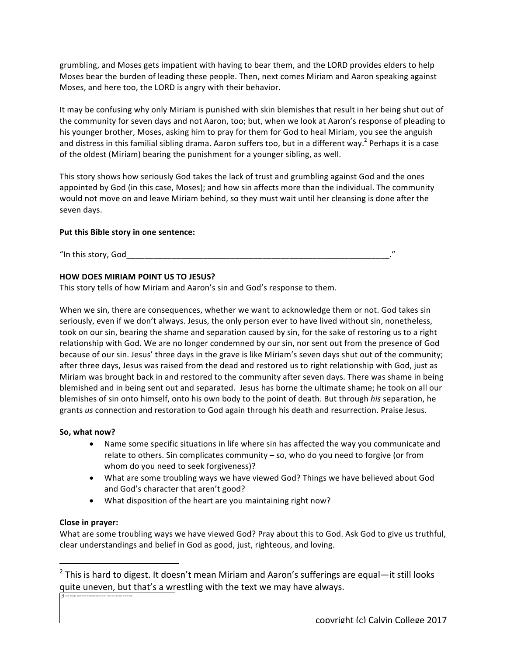grumbling, and Moses gets impatient with having to bear them, and the LORD provides elders to help Moses bear the burden of leading these people. Then, next comes Miriam and Aaron speaking against Moses, and here too, the LORD is angry with their behavior.

It may be confusing why only Miriam is punished with skin blemishes that result in her being shut out of the community for seven days and not Aaron, too; but, when we look at Aaron's response of pleading to his younger brother, Moses, asking him to pray for them for God to heal Miriam, you see the anguish and distress in this familial sibling drama. Aaron suffers too, but in a different way.<sup>2</sup> Perhaps it is a case of the oldest (Miriam) bearing the punishment for a younger sibling, as well.

This story shows how seriously God takes the lack of trust and grumbling against God and the ones appointed by God (in this case, Moses); and how sin affects more than the individual. The community would not move on and leave Miriam behind, so they must wait until her cleansing is done after the seven days.

# Put this Bible story in one sentence:

"In this story,  $God$ 

# **HOW DOES MIRIAM POINT US TO JESUS?**

This story tells of how Miriam and Aaron's sin and God's response to them.

When we sin, there are consequences, whether we want to acknowledge them or not. God takes sin seriously, even if we don't always. Jesus, the only person ever to have lived without sin, nonetheless, took on our sin, bearing the shame and separation caused by sin, for the sake of restoring us to a right relationship with God. We are no longer condemned by our sin, nor sent out from the presence of God because of our sin. Jesus' three days in the grave is like Miriam's seven days shut out of the community; after three days, Jesus was raised from the dead and restored us to right relationship with God, just as Miriam was brought back in and restored to the community after seven days. There was shame in being blemished and in being sent out and separated. Jesus has borne the ultimate shame; he took on all our blemishes of sin onto himself, onto his own body to the point of death. But through *his* separation, he grants us connection and restoration to God again through his death and resurrection. Praise Jesus.

#### So, what now?

- Name some specific situations in life where sin has affected the way you communicate and relate to others. Sin complicates community  $-$  so, who do you need to forgive (or from whom do you need to seek forgiveness)?
- What are some troubling ways we have viewed God? Things we have believed about God and God's character that aren't good?
- What disposition of the heart are you maintaining right now?

#### **Close in prayer:**

The image part with relationship ID rId1 was not found in the file.

 

What are some troubling ways we have viewed God? Pray about this to God. Ask God to give us truthful, clear understandings and belief in God as good, just, righteous, and loving.

 $2$  This is hard to digest. It doesn't mean Miriam and Aaron's sufferings are equal—it still looks quite uneven, but that's a wrestling with the text we may have always.